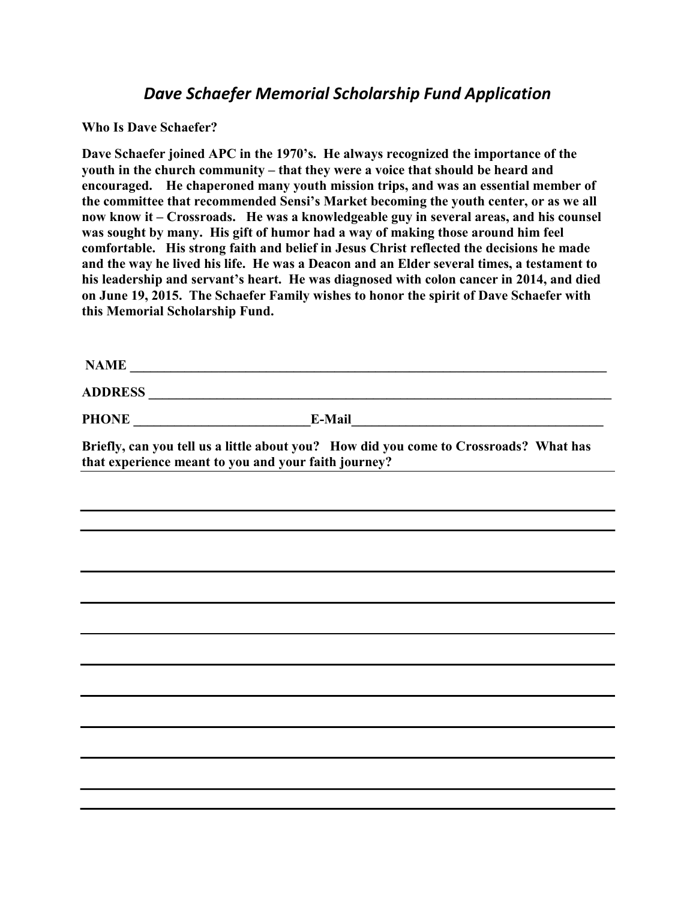## Dave Schaefer Memorial Scholarship Fund Application

Who Is Dave Schaefer?

Dave Schaefer joined APC in the 1970's. He always recognized the importance of the youth in the church community – that they were a voice that should be heard and encouraged. He chaperoned many youth mission trips, and was an essential member of the committee that recommended Sensi's Market becoming the youth center, or as we all now know it – Crossroads. He was a knowledgeable guy in several areas, and his counsel was sought by many. His gift of humor had a way of making those around him feel comfortable. His strong faith and belief in Jesus Christ reflected the decisions he made and the way he lived his life. He was a Deacon and an Elder several times, a testament to his leadership and servant's heart. He was diagnosed with colon cancer in 2014, and died on June 19, 2015. The Schaefer Family wishes to honor the spirit of Dave Schaefer with this Memorial Scholarship Fund.

| <b>NAME</b>    |               |  |
|----------------|---------------|--|
| <b>ADDRESS</b> |               |  |
| <b>PHONE</b>   | <b>E-Mail</b> |  |

Briefly, can you tell us a little about you? How did you come to Crossroads? What has that experience meant to you and your faith journey?